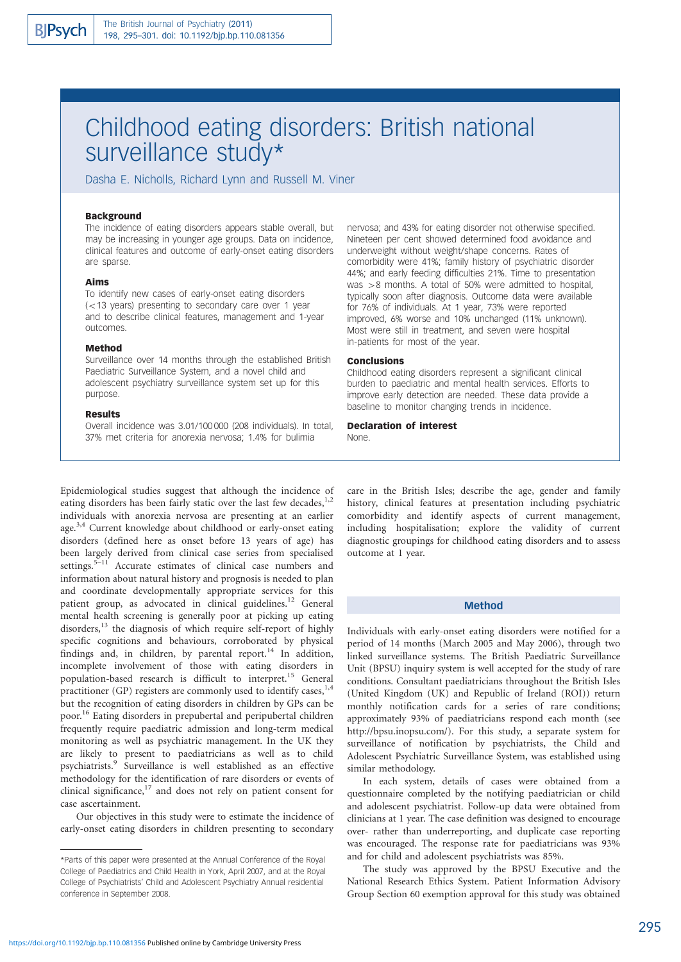# Childhood eating disorders: British national surveillance study\*

Dasha E. Nicholls, Richard Lynn and Russell M. Viner

# Background

The incidence of eating disorders appears stable overall, but may be increasing in younger age groups. Data on incidence, clinical features and outcome of early-onset eating disorders are sparse.

# Aims

To identify new cases of early-onset eating disorders  $(-13 \text{ years})$  presenting to secondary care over 1 year and to describe clinical features, management and 1-year outcomes.

# Method

Surveillance over 14 months through the established British Paediatric Surveillance System, and a novel child and adolescent psychiatry surveillance system set up for this purpose.

#### Results

Overall incidence was 3.01/100 000 (208 individuals). In total, 37% met criteria for anorexia nervosa; 1.4% for bulimia

Epidemiological studies suggest that although the incidence of eating disorders has been fairly static over the last few decades,  $1,2$ individuals with anorexia nervosa are presenting at an earlier age.<sup>3,4</sup> Current knowledge about childhood or early-onset eating disorders (defined here as onset before 13 years of age) has been largely derived from clinical case series from specialised settings.<sup>5–11</sup> Accurate estimates of clinical case numbers and information about natural history and prognosis is needed to plan and coordinate developmentally appropriate services for this patient group, as advocated in clinical guidelines.<sup>12</sup> General mental health screening is generally poor at picking up eating disorders,<sup>13</sup> the diagnosis of which require self-report of highly specific cognitions and behaviours, corroborated by physical findings and, in children, by parental report. $14$  In addition, incomplete involvement of those with eating disorders in population-based research is difficult to interpret.<sup>15</sup> General practitioner (GP) registers are commonly used to identify cases,<sup>1,4</sup> but the recognition of eating disorders in children by GPs can be poor.16 Eating disorders in prepubertal and peripubertal children frequently require paediatric admission and long-term medical monitoring as well as psychiatric management. In the UK they are likely to present to paediatricians as well as to child psychiatrists.<sup>9</sup> Surveillance is well established as an effective methodology for the identification of rare disorders or events of clinical significance, $17$  and does not rely on patient consent for case ascertainment.

Our objectives in this study were to estimate the incidence of early-onset eating disorders in children presenting to secondary

nervosa; and 43% for eating disorder not otherwise specified. Nineteen per cent showed determined food avoidance and underweight without weight/shape concerns. Rates of comorbidity were 41%; family history of psychiatric disorder 44%; and early feeding difficulties 21%. Time to presentation was  $>8$  months. A total of 50% were admitted to hospital, typically soon after diagnosis. Outcome data were available for 76% of individuals. At 1 year, 73% were reported improved, 6% worse and 10% unchanged (11% unknown). Most were still in treatment, and seven were hospital in-patients for most of the year.

#### Conclusions

Childhood eating disorders represent a significant clinical burden to paediatric and mental health services. Efforts to improve early detection are needed. These data provide a baseline to monitor changing trends in incidence.

#### Declaration of interest

None.

care in the British Isles; describe the age, gender and family history, clinical features at presentation including psychiatric comorbidity and identify aspects of current management, including hospitalisation; explore the validity of current diagnostic groupings for childhood eating disorders and to assess outcome at 1 year.

# Method

Individuals with early-onset eating disorders were notified for a period of 14 months (March 2005 and May 2006), through two linked surveillance systems. The British Paediatric Surveillance Unit (BPSU) inquiry system is well accepted for the study of rare conditions. Consultant paediatricians throughout the British Isles (United Kingdom (UK) and Republic of Ireland (ROI)) return monthly notification cards for a series of rare conditions; approximately 93% of paediatricians respond each month (see http://bpsu.inopsu.com/). For this study, a separate system for surveillance of notification by psychiatrists, the Child and Adolescent Psychiatric Surveillance System, was established using similar methodology.

In each system, details of cases were obtained from a questionnaire completed by the notifying paediatrician or child and adolescent psychiatrist. Follow-up data were obtained from clinicians at 1 year. The case definition was designed to encourage over- rather than underreporting, and duplicate case reporting was encouraged. The response rate for paediatricians was 93% and for child and adolescent psychiatrists was 85%.

The study was approved by the BPSU Executive and the National Research Ethics System. Patient Information Advisory Group Section 60 exemption approval for this study was obtained

<sup>\*</sup>Parts of this paper were presented at the Annual Conference of the Royal College of Paediatrics and Child Health in York, April 2007, and at the Royal College of Psychiatrists' Child and Adolescent Psychiatry Annual residential conference in September 2008.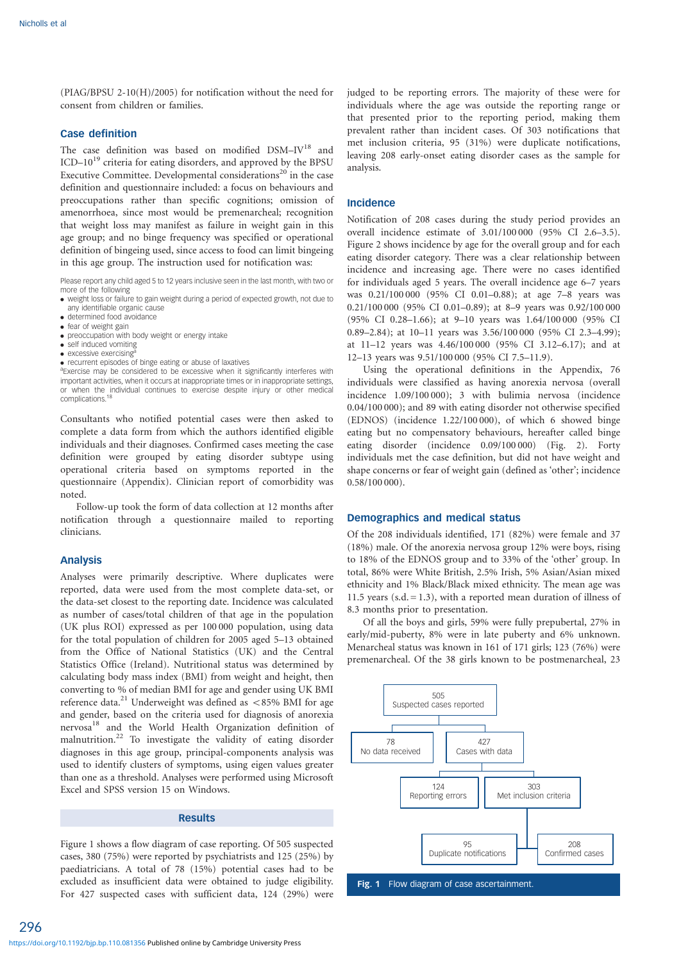(PIAG/BPSU 2-10(H)/2005) for notification without the need for consent from children or families.

### Case definition

The case definition was based on modified DSM-IV<sup>18</sup> and ICD-10<sup>19</sup> criteria for eating disorders, and approved by the BPSU Executive Committee. Developmental considerations $^{20}$  in the case definition and questionnaire included: a focus on behaviours and preoccupations rather than specific cognitions; omission of amenorrhoea, since most would be premenarcheal; recognition that weight loss may manifest as failure in weight gain in this age group; and no binge frequency was specified or operational definition of bingeing used, since access to food can limit bingeing in this age group. The instruction used for notification was:

Please report any child aged 5 to 12 years inclusive seen in the last month, with two or

- more of the following . weight loss or failure to gain weight during a period of expected growth, not due to any identifiable organic cause
- . determined food avoidance
- . fear of weight gain
- . preoccupation with body weight or energy intake
- self induced vomiting
- $\bullet$  excessive exercising
- recurrent episodes of binge eating or abuse of laxatives

<sup>a</sup>Exercise may be considered to be excessive when it significantly interferes with important activities, when it occurs at inappropriate times or in inappropriate settings, or when the individual continues to exercise despite injury or other medical complications.

Consultants who notified potential cases were then asked to complete a data form from which the authors identified eligible individuals and their diagnoses. Confirmed cases meeting the case definition were grouped by eating disorder subtype using operational criteria based on symptoms reported in the questionnaire (Appendix). Clinician report of comorbidity was noted.

Follow-up took the form of data collection at 12 months after notification through a questionnaire mailed to reporting clinicians.

# Analysis

Analyses were primarily descriptive. Where duplicates were reported, data were used from the most complete data-set, or the data-set closest to the reporting date. Incidence was calculated as number of cases/total children of that age in the population (UK plus ROI) expressed as per 100 000 population, using data for the total population of children for 2005 aged 5–13 obtained from the Office of National Statistics (UK) and the Central Statistics Office (Ireland). Nutritional status was determined by calculating body mass index (BMI) from weight and height, then converting to % of median BMI for age and gender using UK BMI reference data.<sup>21</sup> Underweight was defined as  $\lt$  85% BMI for age and gender, based on the criteria used for diagnosis of anorexia nervosa18 and the World Health Organization definition of malnutrition.<sup>22</sup> To investigate the validity of eating disorder diagnoses in this age group, principal-components analysis was used to identify clusters of symptoms, using eigen values greater than one as a threshold. Analyses were performed using Microsoft Excel and SPSS version 15 on Windows.

# Results

Figure 1 shows a flow diagram of case reporting. Of 505 suspected cases, 380 (75%) were reported by psychiatrists and 125 (25%) by paediatricians. A total of 78 (15%) potential cases had to be excluded as insufficient data were obtained to judge eligibility. For 427 suspected cases with sufficient data, 124 (29%) were

judged to be reporting errors. The majority of these were for individuals where the age was outside the reporting range or that presented prior to the reporting period, making them prevalent rather than incident cases. Of 303 notifications that met inclusion criteria, 95 (31%) were duplicate notifications, leaving 208 early-onset eating disorder cases as the sample for analysis.

#### Incidence

Notification of 208 cases during the study period provides an overall incidence estimate of 3.01/100 000 (95% CI 2.6–3.5). Figure 2 shows incidence by age for the overall group and for each eating disorder category. There was a clear relationship between incidence and increasing age. There were no cases identified for individuals aged 5 years. The overall incidence age 6–7 years was 0.21/100 000 (95% CI 0.01–0.88); at age 7–8 years was 0.21/100 000 (95% CI 0.01–0.89); at 8–9 years was 0.92/100 000 (95% CI 0.28–1.66); at 9–10 years was 1.64/100 000 (95% CI 0.89–2.84); at 10–11 years was 3.56/100 000 (95% CI 2.3–4.99); at 11–12 years was 4.46/100 000 (95% CI 3.12–6.17); and at 12–13 years was 9.51/100 000 (95% CI 7.5–11.9).

Using the operational definitions in the Appendix, 76 individuals were classified as having anorexia nervosa (overall incidence 1.09/100 000); 3 with bulimia nervosa (incidence 0.04/100 000); and 89 with eating disorder not otherwise specified (EDNOS) (incidence 1.22/100 000), of which 6 showed binge eating but no compensatory behaviours, hereafter called binge eating disorder (incidence 0.09/100 000) (Fig. 2). Forty individuals met the case definition, but did not have weight and shape concerns or fear of weight gain (defined as 'other'; incidence 0.58/100 000).

#### Demographics and medical status

Of the 208 individuals identified, 171 (82%) were female and 37 (18%) male. Of the anorexia nervosa group 12% were boys, rising to 18% of the EDNOS group and to 33% of the 'other' group. In total, 86% were White British, 2.5% Irish, 5% Asian/Asian mixed ethnicity and 1% Black/Black mixed ethnicity. The mean age was 11.5 years (s.d.  $= 1.3$ ), with a reported mean duration of illness of 8.3 months prior to presentation.

Of all the boys and girls, 59% were fully prepubertal, 27% in early/mid-puberty, 8% were in late puberty and 6% unknown. Menarcheal status was known in 161 of 171 girls; 123 (76%) were premenarcheal. Of the 38 girls known to be postmenarcheal, 23



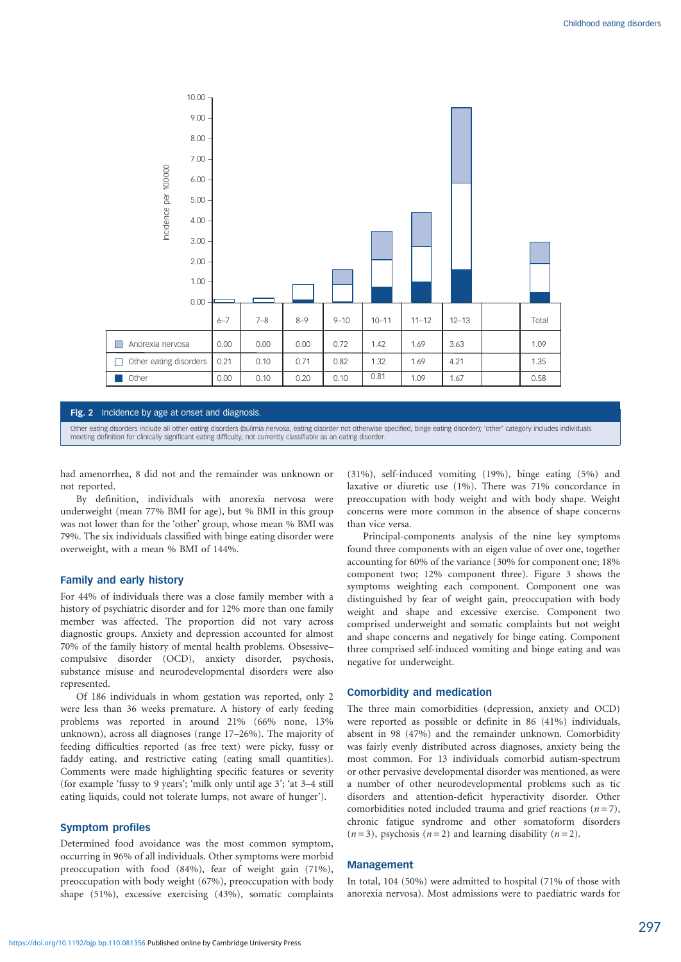

#### Fig. 2 Incidence by age at onset and diagnosis.

Other eating disorders include all other eating disorders (bulimia nervosa, eating disorder not otherwise specified, binge eating disorder); 'other' category includes individuals<br>meeting definition for clinically significa

had amenorrhea, 8 did not and the remainder was unknown or not reported.

By definition, individuals with anorexia nervosa were underweight (mean 77% BMI for age), but % BMI in this group was not lower than for the 'other' group, whose mean % BMI was 79%. The six individuals classified with binge eating disorder were overweight, with a mean % BMI of 144%.

## Family and early history

For 44% of individuals there was a close family member with a history of psychiatric disorder and for 12% more than one family member was affected. The proportion did not vary across diagnostic groups. Anxiety and depression accounted for almost 70% of the family history of mental health problems. Obsessive– compulsive disorder (OCD), anxiety disorder, psychosis, substance misuse and neurodevelopmental disorders were also represented.

Of 186 individuals in whom gestation was reported, only 2 were less than 36 weeks premature. A history of early feeding problems was reported in around 21% (66% none, 13% unknown), across all diagnoses (range 17–26%). The majority of feeding difficulties reported (as free text) were picky, fussy or faddy eating, and restrictive eating (eating small quantities). Comments were made highlighting specific features or severity (for example 'fussy to 9 years'; 'milk only until age 3'; 'at 3–4 still eating liquids, could not tolerate lumps, not aware of hunger').

#### Symptom profiles

Determined food avoidance was the most common symptom, occurring in 96% of all individuals. Other symptoms were morbid preoccupation with food (84%), fear of weight gain (71%), preoccupation with body weight (67%), preoccupation with body shape (51%), excessive exercising (43%), somatic complaints

(31%), self-induced vomiting (19%), binge eating (5%) and laxative or diuretic use (1%). There was 71% concordance in preoccupation with body weight and with body shape. Weight concerns were more common in the absence of shape concerns than vice versa.

Principal-components analysis of the nine key symptoms found three components with an eigen value of over one, together accounting for 60% of the variance (30% for component one; 18% component two; 12% component three). Figure 3 shows the symptoms weighting each component. Component one was distinguished by fear of weight gain, preoccupation with body weight and shape and excessive exercise. Component two comprised underweight and somatic complaints but not weight and shape concerns and negatively for binge eating. Component three comprised self-induced vomiting and binge eating and was negative for underweight.

# Comorbidity and medication

The three main comorbidities (depression, anxiety and OCD) were reported as possible or definite in 86 (41%) individuals, absent in 98 (47%) and the remainder unknown. Comorbidity was fairly evenly distributed across diagnoses, anxiety being the most common. For 13 individuals comorbid autism-spectrum or other pervasive developmental disorder was mentioned, as were a number of other neurodevelopmental problems such as tic disorders and attention-deficit hyperactivity disorder. Other comorbidities noted included trauma and grief reactions  $(n=7)$ , chronic fatigue syndrome and other somatoform disorders  $(n=3)$ , psychosis  $(n=2)$  and learning disability  $(n=2)$ .

#### Management

In total, 104 (50%) were admitted to hospital (71% of those with anorexia nervosa). Most admissions were to paediatric wards for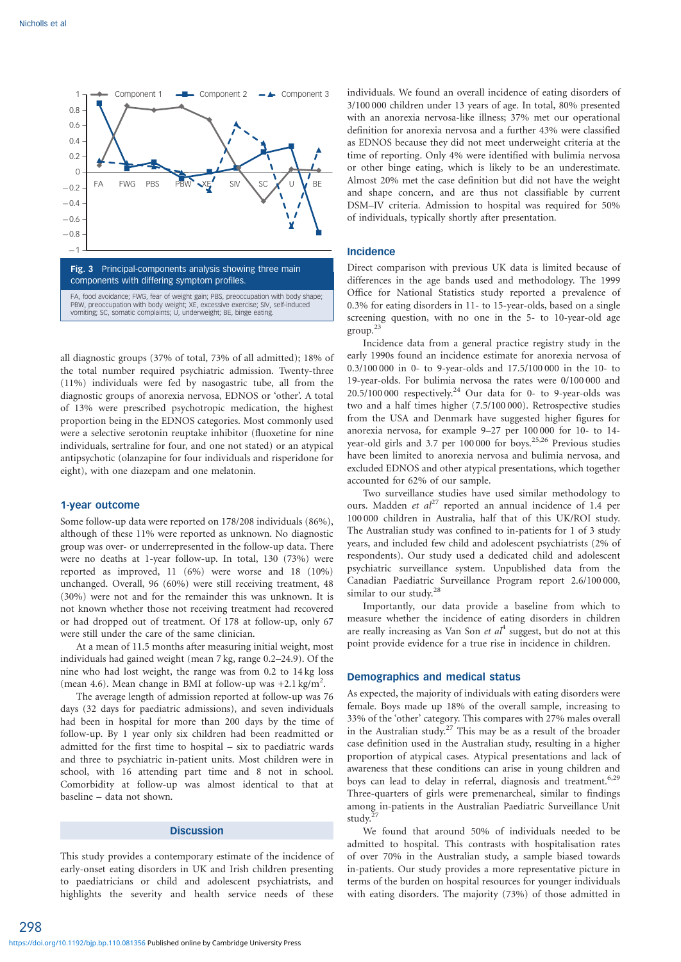

all diagnostic groups (37% of total, 73% of all admitted); 18% of the total number required psychiatric admission. Twenty-three (11%) individuals were fed by nasogastric tube, all from the diagnostic groups of anorexia nervosa, EDNOS or 'other'. A total of 13% were prescribed psychotropic medication, the highest proportion being in the EDNOS categories. Most commonly used were a selective serotonin reuptake inhibitor (fluoxetine for nine individuals, sertraline for four, and one not stated) or an atypical antipsychotic (olanzapine for four individuals and risperidone for eight), with one diazepam and one melatonin.

#### 1-year outcome

Some follow-up data were reported on 178/208 individuals (86%), although of these 11% were reported as unknown. No diagnostic group was over- or underrepresented in the follow-up data. There were no deaths at 1-year follow-up. In total, 130 (73%) were reported as improved, 11 (6%) were worse and 18 (10%) unchanged. Overall, 96 (60%) were still receiving treatment, 48 (30%) were not and for the remainder this was unknown. It is not known whether those not receiving treatment had recovered or had dropped out of treatment. Of 178 at follow-up, only 67 were still under the care of the same clinician.

At a mean of 11.5 months after measuring initial weight, most individuals had gained weight (mean 7 kg, range 0.2–24.9). Of the nine who had lost weight, the range was from 0.2 to 14 kg loss (mean 4.6). Mean change in BMI at follow-up was  $+2.1 \text{ kg/m}^2$ .

The average length of admission reported at follow-up was 76 days (32 days for paediatric admissions), and seven individuals had been in hospital for more than 200 days by the time of follow-up. By 1 year only six children had been readmitted or admitted for the first time to hospital – six to paediatric wards and three to psychiatric in-patient units. Most children were in school, with 16 attending part time and 8 not in school. Comorbidity at follow-up was almost identical to that at baseline – data not shown.

#### **Discussion**

This study provides a contemporary estimate of the incidence of early-onset eating disorders in UK and Irish children presenting to paediatricians or child and adolescent psychiatrists, and highlights the severity and health service needs of these

individuals. We found an overall incidence of eating disorders of 3/100 000 children under 13 years of age. In total, 80% presented with an anorexia nervosa-like illness; 37% met our operational definition for anorexia nervosa and a further 43% were classified as EDNOS because they did not meet underweight criteria at the time of reporting. Only 4% were identified with bulimia nervosa or other binge eating, which is likely to be an underestimate. Almost 20% met the case definition but did not have the weight and shape concern, and are thus not classifiable by current DSM–IV criteria. Admission to hospital was required for 50% of individuals, typically shortly after presentation.

# Incidence

Direct comparison with previous UK data is limited because of differences in the age bands used and methodology. The 1999 Office for National Statistics study reported a prevalence of 0.3% for eating disorders in 11- to 15-year-olds, based on a single screening question, with no one in the 5- to 10-year-old age group.<sup>2</sup>

Incidence data from a general practice registry study in the early 1990s found an incidence estimate for anorexia nervosa of 0.3/100 000 in 0- to 9-year-olds and 17.5/100 000 in the 10- to 19-year-olds. For bulimia nervosa the rates were 0/100 000 and  $20.5/100 000$  respectively.<sup>24</sup> Our data for 0- to 9-year-olds was two and a half times higher (7.5/100 000). Retrospective studies from the USA and Denmark have suggested higher figures for anorexia nervosa, for example 9–27 per 100 000 for 10- to 14 year-old girls and 3.7 per 100 000 for boys.<sup>25,26</sup> Previous studies have been limited to anorexia nervosa and bulimia nervosa, and excluded EDNOS and other atypical presentations, which together accounted for 62% of our sample.

Two surveillance studies have used similar methodology to ours. Madden *et al*<sup>27</sup> reported an annual incidence of 1.4 per 100 000 children in Australia, half that of this UK/ROI study. The Australian study was confined to in-patients for 1 of 3 study years, and included few child and adolescent psychiatrists (2% of respondents). Our study used a dedicated child and adolescent psychiatric surveillance system. Unpublished data from the Canadian Paediatric Surveillance Program report 2.6/100 000, similar to our study.<sup>28</sup>

Importantly, our data provide a baseline from which to measure whether the incidence of eating disorders in children are really increasing as Van Son et  $al<sup>4</sup>$  suggest, but do not at this point provide evidence for a true rise in incidence in children.

#### Demographics and medical status

As expected, the majority of individuals with eating disorders were female. Boys made up 18% of the overall sample, increasing to 33% of the 'other' category. This compares with 27% males overall in the Australian study.<sup>27</sup> This may be as a result of the broader case definition used in the Australian study, resulting in a higher proportion of atypical cases. Atypical presentations and lack of awareness that these conditions can arise in young children and boys can lead to delay in referral, diagnosis and treatment.<sup>6,29</sup> Three-quarters of girls were premenarcheal, similar to findings among in-patients in the Australian Paediatric Surveillance Unit study.

We found that around 50% of individuals needed to be admitted to hospital. This contrasts with hospitalisation rates of over 70% in the Australian study, a sample biased towards in-patients. Our study provides a more representative picture in terms of the burden on hospital resources for younger individuals with eating disorders. The majority (73%) of those admitted in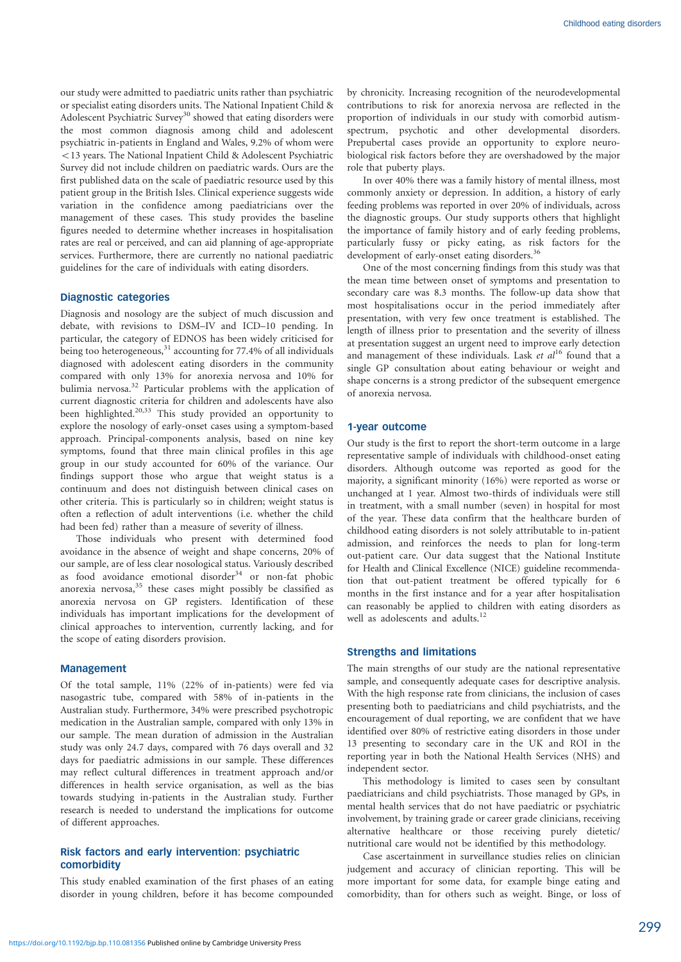our study were admitted to paediatric units rather than psychiatric or specialist eating disorders units. The National Inpatient Child & Adolescent Psychiatric Survey<sup>30</sup> showed that eating disorders were the most common diagnosis among child and adolescent psychiatric in-patients in England and Wales, 9.2% of whom were 513 years. The National Inpatient Child & Adolescent Psychiatric Survey did not include children on paediatric wards. Ours are the first published data on the scale of paediatric resource used by this patient group in the British Isles. Clinical experience suggests wide variation in the confidence among paediatricians over the management of these cases. This study provides the baseline figures needed to determine whether increases in hospitalisation rates are real or perceived, and can aid planning of age-appropriate services. Furthermore, there are currently no national paediatric guidelines for the care of individuals with eating disorders.

### Diagnostic categories

Diagnosis and nosology are the subject of much discussion and debate, with revisions to DSM–IV and ICD–10 pending. In particular, the category of EDNOS has been widely criticised for being too heterogeneous, $31$  accounting for 77.4% of all individuals diagnosed with adolescent eating disorders in the community compared with only 13% for anorexia nervosa and 10% for bulimia nervosa.<sup>32</sup> Particular problems with the application of current diagnostic criteria for children and adolescents have also been highlighted.<sup>20,33</sup> This study provided an opportunity to explore the nosology of early-onset cases using a symptom-based approach. Principal-components analysis, based on nine key symptoms, found that three main clinical profiles in this age group in our study accounted for 60% of the variance. Our findings support those who argue that weight status is a continuum and does not distinguish between clinical cases on other criteria. This is particularly so in children; weight status is often a reflection of adult interventions (i.e. whether the child had been fed) rather than a measure of severity of illness.

Those individuals who present with determined food avoidance in the absence of weight and shape concerns, 20% of our sample, are of less clear nosological status. Variously described as food avoidance emotional disorder $34$  or non-fat phobic anorexia nervosa,<sup>35</sup> these cases might possibly be classified as anorexia nervosa on GP registers. Identification of these individuals has important implications for the development of clinical approaches to intervention, currently lacking, and for the scope of eating disorders provision.

#### Management

Of the total sample, 11% (22% of in-patients) were fed via nasogastric tube, compared with 58% of in-patients in the Australian study. Furthermore, 34% were prescribed psychotropic medication in the Australian sample, compared with only 13% in our sample. The mean duration of admission in the Australian study was only 24.7 days, compared with 76 days overall and 32 days for paediatric admissions in our sample. These differences may reflect cultural differences in treatment approach and/or differences in health service organisation, as well as the bias towards studying in-patients in the Australian study. Further research is needed to understand the implications for outcome of different approaches.

# Risk factors and early intervention: psychiatric comorbidity

This study enabled examination of the first phases of an eating disorder in young children, before it has become compounded by chronicity. Increasing recognition of the neurodevelopmental contributions to risk for anorexia nervosa are reflected in the proportion of individuals in our study with comorbid autismspectrum, psychotic and other developmental disorders. Prepubertal cases provide an opportunity to explore neurobiological risk factors before they are overshadowed by the major role that puberty plays.

In over 40% there was a family history of mental illness, most commonly anxiety or depression. In addition, a history of early feeding problems was reported in over 20% of individuals, across the diagnostic groups. Our study supports others that highlight the importance of family history and of early feeding problems, particularly fussy or picky eating, as risk factors for the development of early-onset eating disorders.<sup>36</sup>

One of the most concerning findings from this study was that the mean time between onset of symptoms and presentation to secondary care was 8.3 months. The follow-up data show that most hospitalisations occur in the period immediately after presentation, with very few once treatment is established. The length of illness prior to presentation and the severity of illness at presentation suggest an urgent need to improve early detection and management of these individuals. Lask et  $al^{16}$  found that a single GP consultation about eating behaviour or weight and shape concerns is a strong predictor of the subsequent emergence of anorexia nervosa.

## 1-year outcome

Our study is the first to report the short-term outcome in a large representative sample of individuals with childhood-onset eating disorders. Although outcome was reported as good for the majority, a significant minority (16%) were reported as worse or unchanged at 1 year. Almost two-thirds of individuals were still in treatment, with a small number (seven) in hospital for most of the year. These data confirm that the healthcare burden of childhood eating disorders is not solely attributable to in-patient admission, and reinforces the needs to plan for long-term out-patient care. Our data suggest that the National Institute for Health and Clinical Excellence (NICE) guideline recommendation that out-patient treatment be offered typically for 6 months in the first instance and for a year after hospitalisation can reasonably be applied to children with eating disorders as well as adolescents and adults.<sup>12</sup>

#### Strengths and limitations

The main strengths of our study are the national representative sample, and consequently adequate cases for descriptive analysis. With the high response rate from clinicians, the inclusion of cases presenting both to paediatricians and child psychiatrists, and the encouragement of dual reporting, we are confident that we have identified over 80% of restrictive eating disorders in those under 13 presenting to secondary care in the UK and ROI in the reporting year in both the National Health Services (NHS) and independent sector.

This methodology is limited to cases seen by consultant paediatricians and child psychiatrists. Those managed by GPs, in mental health services that do not have paediatric or psychiatric involvement, by training grade or career grade clinicians, receiving alternative healthcare or those receiving purely dietetic/ nutritional care would not be identified by this methodology.

Case ascertainment in surveillance studies relies on clinician judgement and accuracy of clinician reporting. This will be more important for some data, for example binge eating and comorbidity, than for others such as weight. Binge, or loss of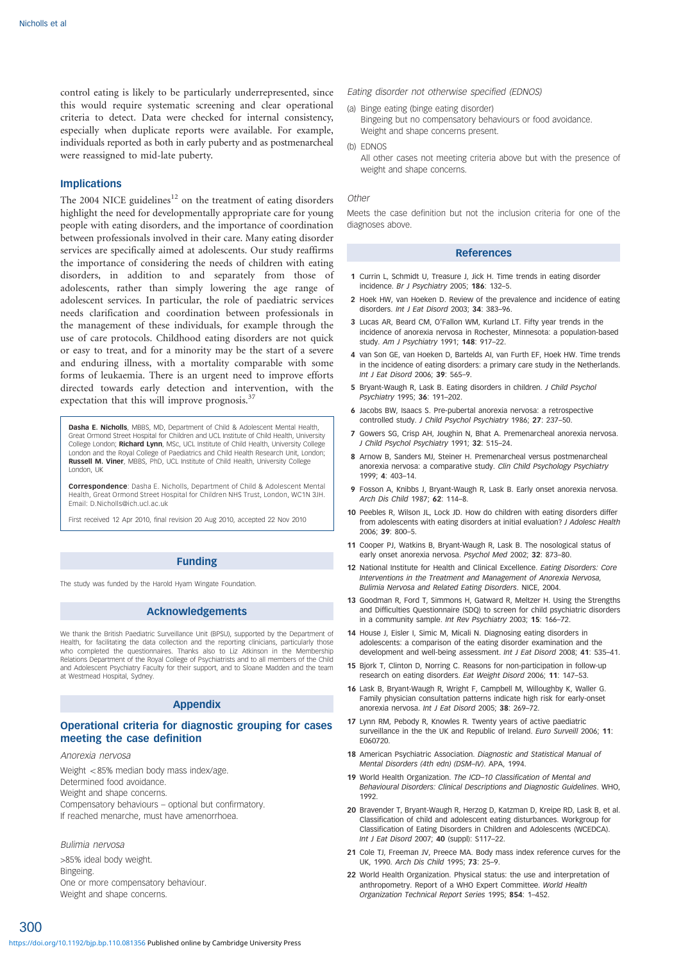control eating is likely to be particularly underrepresented, since this would require systematic screening and clear operational criteria to detect. Data were checked for internal consistency, especially when duplicate reports were available. For example, individuals reported as both in early puberty and as postmenarcheal were reassigned to mid-late puberty.

#### Implications

The 2004 NICE guidelines<sup>12</sup> on the treatment of eating disorders highlight the need for developmentally appropriate care for young people with eating disorders, and the importance of coordination between professionals involved in their care. Many eating disorder services are specifically aimed at adolescents. Our study reaffirms the importance of considering the needs of children with eating disorders, in addition to and separately from those of adolescents, rather than simply lowering the age range of adolescent services. In particular, the role of paediatric services needs clarification and coordination between professionals in the management of these individuals, for example through the use of care protocols. Childhood eating disorders are not quick or easy to treat, and for a minority may be the start of a severe and enduring illness, with a mortality comparable with some forms of leukaemia. There is an urgent need to improve efforts directed towards early detection and intervention, with the expectation that this will improve prognosis.<sup>37</sup>

Dasha E. Nicholls, MBBS, MD, Department of Child & Adolescent Mental Health, Great Ormond Street Hospital for Children and UCL Institute of Child Health, University College London; Richard Lynn, MSc, UCL Institute of Child Health, University College London and the Royal College of Paediatrics and Child Health Research Unit, London; Russell M. Viner, MBBS, PhD, UCL Institute of Child Health, University College London, UK

Correspondence: Dasha E. Nicholls, Department of Child & Adolescent Mental Health, Great Ormond Street Hospital for Children NHS Trust, London, WC1N 3JH. Email: D.Nicholls@ich.ucl.ac.uk

First received 12 Apr 2010, final revision 20 Aug 2010, accepted 22 Nov 2010

# Funding

The study was funded by the Harold Hyam Wingate Foundation.

#### Acknowledgements

We thank the British Paediatric Surveillance Unit (BPSU), supported by the Department of Health, for facilitating the data collection and the reporting clinicians, particularly those who completed the questionnaires. Thanks also to Liz Atkinson in the Membership Relations Department of the Royal College of Psychiatrists and to all members of the Child and Adolescent Psychiatry Faculty for their support, and to Sloane Madden and the team at Westmead Hospital, Sydney.

# Appendix

# Operational criteria for diagnostic grouping for cases meeting the case definition

Anorexia nervosa

Weight  $<85\%$  median body mass index/age. Determined food avoidance. Weight and shape concerns.

Compensatory behaviours – optional but confirmatory. If reached menarche, must have amenorrhoea.

#### Bulimia nervosa

>85% ideal body weight. Bingeing. One or more compensatory behaviour. Weight and shape concerns.

Eating disorder not otherwise specified (EDNOS)

- (a) Binge eating (binge eating disorder) Bingeing but no compensatory behaviours or food avoidance. Weight and shape concerns present.
- (b) EDNOS
	- All other cases not meeting criteria above but with the presence of weight and shape concerns.

#### Other

Meets the case definition but not the inclusion criteria for one of the diagnoses above.

#### References

- 1 Currin L, Schmidt U, Treasure J, Jick H. Time trends in eating disorder incidence. Br J Psychiatry 2005; 186: 132–5.
- 2 Hoek HW, van Hoeken D. Review of the prevalence and incidence of eating disorders. Int J Eat Disord 2003; 34: 383–96.
- 3 Lucas AR, Beard CM, O'Fallon WM, Kurland LT. Fifty year trends in the incidence of anorexia nervosa in Rochester, Minnesota: a population-based study. Am J Psychiatry 1991; 148: 917–22.
- 4 van Son GE, van Hoeken D, Bartelds AI, van Furth EF, Hoek HW. Time trends in the incidence of eating disorders: a primary care study in the Netherlands. Int J Eat Disord 2006; 39: 565–9.
- 5 Bryant-Waugh R, Lask B. Eating disorders in children. J Child Psychol Psychiatry 1995; 36: 191–202.
- 6 Jacobs BW, Isaacs S. Pre-pubertal anorexia nervosa: a retrospective controlled study. J Child Psychol Psychiatry 1986; 27: 237–50.
- 7 Gowers SG, Crisp AH, Joughin N, Bhat A. Premenarcheal anorexia nervosa. J Child Psychol Psychiatry 1991; 32: 515-24.
- 8 Arnow B, Sanders MJ, Steiner H, Premenarcheal versus postmenarcheal anorexia nervosa: a comparative study. Clin Child Psychology Psychiatry 1999; 4: 403–14.
- 9 Fosson A, Knibbs J, Bryant-Waugh R, Lask B. Early onset anorexia nervosa. Arch Dis Child 1987; 62: 114–8.
- 10 Peebles R, Wilson JL, Lock JD. How do children with eating disorders differ from adolescents with eating disorders at initial evaluation? J Adolesc Health 2006; 39: 800–5.
- 11 Cooper PJ, Watkins B, Bryant-Waugh R, Lask B. The nosological status of early onset anorexia nervosa. Psychol Med 2002; 32: 873–80.
- 12 National Institute for Health and Clinical Excellence. Eating Disorders: Core Interventions in the Treatment and Management of Anorexia Nervosa, Bulimia Nervosa and Related Eating Disorders. NICE, 2004.
- 13 Goodman R, Ford T, Simmons H, Gatward R, Meltzer H, Using the Strengths and Difficulties Questionnaire (SDQ) to screen for child psychiatric disorders in a community sample. Int Rev Psychiatry 2003; 15: 166–72.
- 14 House J, Eisler I, Simic M, Micali N. Diagnosing eating disorders in adolescents: a comparison of the eating disorder examination and the development and well-being assessment. Int J Eat Disord 2008; 41: 535–41.
- 15 Bjork T, Clinton D, Norring C. Reasons for non-participation in follow-up research on eating disorders. Eat Weight Disord 2006; 11: 147–53.
- 16 Lask B, Bryant-Waugh R, Wright F, Campbell M, Willoughby K, Waller G. Family physician consultation patterns indicate high risk for early-onset anorexia nervosa. Int J Eat Disord 2005; 38: 269–72.
- 17 Lynn RM, Pebody R, Knowles R. Twenty years of active paediatric surveillance in the the UK and Republic of Ireland. Euro Surveill 2006; 11: E060720.
- 18 American Psychiatric Association. Diagnostic and Statistical Manual of Mental Disorders (4th edn) (DSM–IV). APA, 1994.
- 19 World Health Organization. The ICD–10 Classification of Mental and Behavioural Disorders: Clinical Descriptions and Diagnostic Guidelines. WHO, 1992.
- 20 Bravender T, Bryant-Waugh R, Herzog D, Katzman D, Kreipe RD, Lask B, et al. Classification of child and adolescent eating disturbances. Workgroup for Classification of Eating Disorders in Children and Adolescents (WCEDCA). Int J Eat Disord 2007; 40 (suppl): S117–22.
- 21 Cole TJ, Freeman JV, Preece MA. Body mass index reference curves for the UK, 1990. Arch Dis Child 1995; 73: 25–9.
- 22 World Health Organization. Physical status: the use and interpretation of anthropometry. Report of a WHO Expert Committee. World Health Organization Technical Report Series 1995; 854: 1–452.